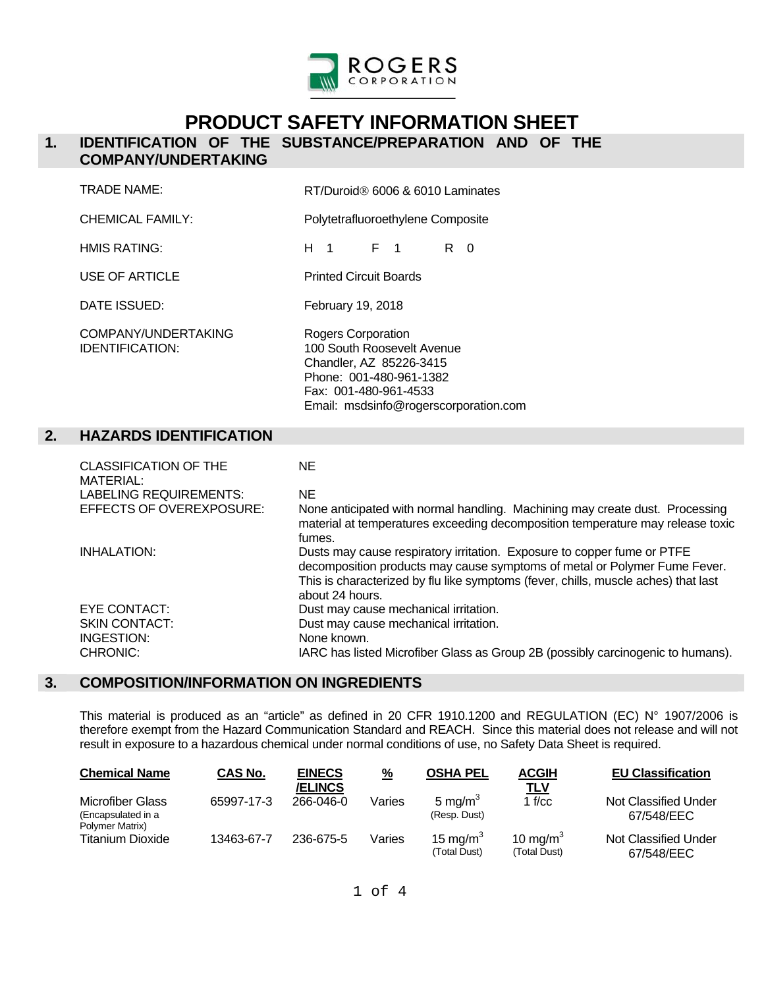

# **PRODUCT SAFETY INFORMATION SHEET**

### **1. IDENTIFICATION OF THE SUBSTANCE/PREPARATION AND OF THE COMPANY/UNDERTAKING**

|    | <b>TRADE NAME:</b>                                                                                            | RT/Duroid <sup>®</sup> 6006 & 6010 Laminates                                                                                                                             |
|----|---------------------------------------------------------------------------------------------------------------|--------------------------------------------------------------------------------------------------------------------------------------------------------------------------|
|    | <b>CHEMICAL FAMILY:</b>                                                                                       | Polytetrafluoroethylene Composite                                                                                                                                        |
|    | HMIS RATING:                                                                                                  | F 1<br>$R \quad 0$<br>$H_1$ 1                                                                                                                                            |
|    | <b>USE OF ARTICLE</b>                                                                                         | <b>Printed Circuit Boards</b>                                                                                                                                            |
|    | DATE ISSUED:                                                                                                  | February 19, 2018                                                                                                                                                        |
|    | COMPANY/UNDERTAKING<br><b>IDENTIFICATION:</b>                                                                 | Rogers Corporation<br>100 South Roosevelt Avenue<br>Chandler, AZ 85226-3415<br>Phone: 001-480-961-1382<br>Fax: 001-480-961-4533<br>Email: msdsinfo@rogerscorporation.com |
| 2. | <b>HAZARDS IDENTIFICATION</b>                                                                                 |                                                                                                                                                                          |
|    | <b>CLASSIFICATION OF THE</b><br><b>MATERIAL:</b><br><b>LABELING REQUIREMENTS:</b><br>EFFECTS OF OVEREXPOSURE: | <b>NE</b><br><b>NE</b><br>None anticipated with normal handling. Machining may create dust. Pro<br>material at temperatures exceeding decomposition temperature may rele |
|    | INHALATION:                                                                                                   | fumes.<br>Dusts may cause respiratory irritation. Exposure to copper fume or PTF<br>decomposition products move ourse symptoms of motal or Dalymor Eum                   |

| MATERIAL:                |                                                                                                                                                                                                                                                               |
|--------------------------|---------------------------------------------------------------------------------------------------------------------------------------------------------------------------------------------------------------------------------------------------------------|
| LABELING REQUIREMENTS:   | NE                                                                                                                                                                                                                                                            |
| EFFECTS OF OVEREXPOSURE: | None anticipated with normal handling. Machining may create dust. Processing<br>material at temperatures exceeding decomposition temperature may release toxic<br>fumes.                                                                                      |
| INHALATION:              | Dusts may cause respiratory irritation. Exposure to copper fume or PTFE<br>decomposition products may cause symptoms of metal or Polymer Fume Fever.<br>This is characterized by flu like symptoms (fever, chills, muscle aches) that last<br>about 24 hours. |
| EYE CONTACT:             | Dust may cause mechanical irritation.                                                                                                                                                                                                                         |
| <b>SKIN CONTACT:</b>     | Dust may cause mechanical irritation.                                                                                                                                                                                                                         |
| INGESTION:               | None known.                                                                                                                                                                                                                                                   |
| CHRONIC:                 | IARC has listed Microfiber Glass as Group 2B (possibly carcinogenic to humans).                                                                                                                                                                               |
|                          |                                                                                                                                                                                                                                                               |

## **3. COMPOSITION/INFORMATION ON INGREDIENTS**

 This material is produced as an "article" as defined in 20 CFR 1910.1200 and REGULATION (EC) N° 1907/2006 is therefore exempt from the Hazard Communication Standard and REACH. Since this material does not release and will not result in exposure to a hazardous chemical under normal conditions of use, no Safety Data Sheet is required.

| Chemical Name                                                    | CAS No.    | <b>EINECS</b><br><b>/ELINCS</b> | $\frac{9}{6}$ | <b>OSHA PEL</b>                     | <b>ACGIH</b><br><u>TLV</u>           | <b>EU Classification</b>           |
|------------------------------------------------------------------|------------|---------------------------------|---------------|-------------------------------------|--------------------------------------|------------------------------------|
| <b>Microfiber Glass</b><br>(Encapsulated in a<br>Polymer Matrix) | 65997-17-3 | 266-046-0                       | Varies        | 5 mg/m <sup>3</sup><br>(Resp. Dust) | 1 $f/cc$                             | Not Classified Under<br>67/548/EEC |
| Titanium Dioxide                                                 | 13463-67-7 | 236-675-5                       | Varies        | 15 mg/m $3$<br>(Total Dust)         | 10 mg/m <sup>3</sup><br>(Total Dust) | Not Classified Under<br>67/548/EEC |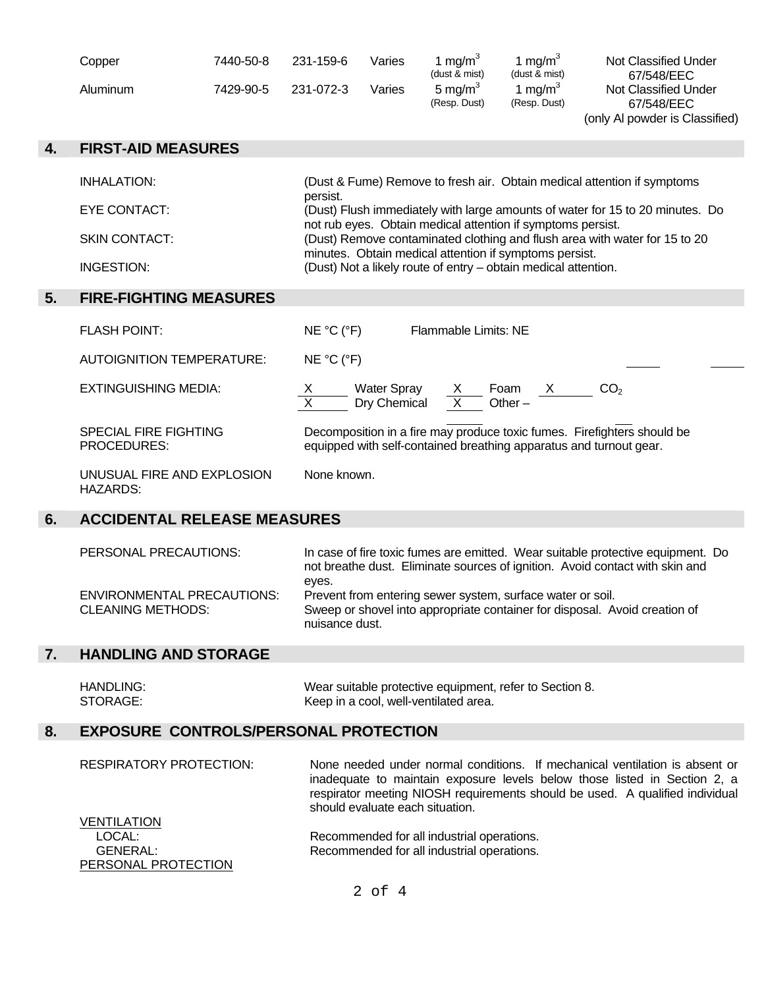| Copper   | 7440-50-8 | 231-159-6 | Varies | $1 \text{ ma/m}^3$<br>(dust & mist) | , ma/m <sup>s</sup><br>(dust & mist) | <b>Not Classified Under</b><br>67/548/EEC |
|----------|-----------|-----------|--------|-------------------------------------|--------------------------------------|-------------------------------------------|
| Aluminum | 7429-90-5 | 231-072-3 | Varies | 5 ma/m <sup>3</sup><br>(Resp. Dust) | , ma/m°<br>(Resp. Dust)              | Not Classified Under<br>67/548/EEC        |

(only Al powder is Classified)

| 4. | <b>FIRST-AID MEASURES</b>                     |                                                                                                                                                                                                                                                                       |  |  |
|----|-----------------------------------------------|-----------------------------------------------------------------------------------------------------------------------------------------------------------------------------------------------------------------------------------------------------------------------|--|--|
|    | <b>INHALATION:</b>                            | (Dust & Fume) Remove to fresh air. Obtain medical attention if symptoms                                                                                                                                                                                               |  |  |
|    | EYE CONTACT:                                  | persist.<br>(Dust) Flush immediately with large amounts of water for 15 to 20 minutes. Do                                                                                                                                                                             |  |  |
|    | <b>SKIN CONTACT:</b>                          | not rub eyes. Obtain medical attention if symptoms persist.<br>(Dust) Remove contaminated clothing and flush area with water for 15 to 20<br>minutes. Obtain medical attention if symptoms persist.<br>(Dust) Not a likely route of entry - obtain medical attention. |  |  |
|    | INGESTION:                                    |                                                                                                                                                                                                                                                                       |  |  |
| 5. | <b>FIRE-FIGHTING MEASURES</b>                 |                                                                                                                                                                                                                                                                       |  |  |
|    | <b>FLASH POINT:</b>                           | NE °C (°F)<br>Flammable Limits: NE                                                                                                                                                                                                                                    |  |  |
|    | <b>AUTOIGNITION TEMPERATURE:</b>              | NE °C (°F)                                                                                                                                                                                                                                                            |  |  |
|    | <b>EXTINGUISHING MEDIA:</b>                   | CO <sub>2</sub><br>$\frac{X}{X}$ Water Spray $\frac{X}{X}$ Foam $\frac{X}{X}$                                                                                                                                                                                         |  |  |
|    | <b>SPECIAL FIRE FIGHTING</b><br>PROCEDURES:   | Decomposition in a fire may produce toxic fumes. Firefighters should be<br>equipped with self-contained breathing apparatus and turnout gear.                                                                                                                         |  |  |
|    | UNUSUAL FIRE AND EXPLOSION<br><b>HAZARDS:</b> | None known.                                                                                                                                                                                                                                                           |  |  |
| 6. | <b>ACCIDENTAL RELEASE MEASURES</b>            |                                                                                                                                                                                                                                                                       |  |  |

 PERSONAL PRECAUTIONS: In case of fire toxic fumes are emitted. Wear suitable protective equipment. Do not breathe dust. Eliminate sources of ignition. Avoid contact with skin and eyes. ENVIRONMENTAL PRECAUTIONS: Prevent from entering sewer system, surface water or soil. CLEANING METHODS: Sweep or shovel into appropriate container for disposal. Avoid creation of nuisance dust.

## **7. HANDLING AND STORAGE**

PERSONAL PROTECTION

| HANDLING: | Wear suitable protective equipment, refer to Section 8. |
|-----------|---------------------------------------------------------|
| STORAGE:  | Keep in a cool, well-ventilated area.                   |
|           |                                                         |

#### **8. EXPOSURE CONTROLS/PERSONAL PROTECTION**

 RESPIRATORY PROTECTION: None needed under normal conditions. If mechanical ventilation is absent or inadequate to maintain exposure levels below those listed in Section 2, a respirator meeting NIOSH requirements should be used. A qualified individual should evaluate each situation. **VENTILATION** LOCAL: Recommended for all industrial operations. GENERAL: Recommended for all industrial operations.

2 of 4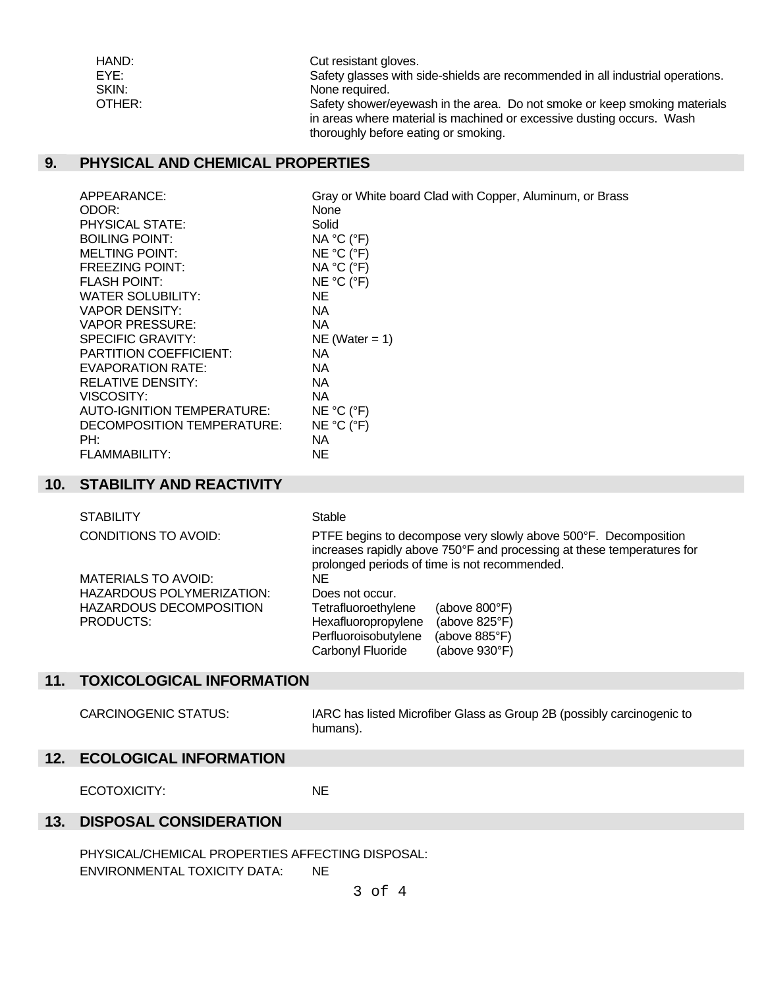| HAND:  | Cut resistant gloves.                                                          |
|--------|--------------------------------------------------------------------------------|
| EYE:   | Safety glasses with side-shields are recommended in all industrial operations. |
| SKIN:  | None required.                                                                 |
| OTHER: | Safety shower/eyewash in the area. Do not smoke or keep smoking materials      |
|        | in areas where material is machined or excessive dusting occurs. Wash          |
|        | thoroughly before eating or smoking.                                           |

### **9. PHYSICAL AND CHEMICAL PROPERTIES**

| APPEARANCE:                   | Gray or White board Clad with Copper, Aluminum, or Brass |
|-------------------------------|----------------------------------------------------------|
| ODOR:                         | None                                                     |
| PHYSICAL STATE:               | Solid                                                    |
| <b>BOILING POINT:</b>         | NA °C (°F)                                               |
| <b>MELTING POINT:</b>         | NE °C (°F)                                               |
| <b>FREEZING POINT:</b>        | NA °C (°F)                                               |
| <b>FLASH POINT:</b>           | NE °C (°F)                                               |
| WATER SOLUBILITY:             | NE.                                                      |
| VAPOR DENSITY:                | NA.                                                      |
| VAPOR PRESSURE:               | NA.                                                      |
| <b>SPECIFIC GRAVITY:</b>      | $NE (Water = 1)$                                         |
| <b>PARTITION COEFFICIENT:</b> | NA.                                                      |
| EVAPORATION RATE:             | NA.                                                      |
| RELATIVE DENSITY:             | NA.                                                      |
| VISCOSITY:                    | NA.                                                      |
| AUTO-IGNITION TEMPERATURE:    | NE °C (°F)                                               |
| DECOMPOSITION TEMPERATURE:    | NE °C (°F)                                               |
| PH:                           | NA.                                                      |
| FLAMMABILITY:                 | ΝE                                                       |

## **10. STABILITY AND REACTIVITY**

| <b>STABILITY</b>           | Stable                                                                                                                                                                                     |
|----------------------------|--------------------------------------------------------------------------------------------------------------------------------------------------------------------------------------------|
| CONDITIONS TO AVOID:       | PTFE begins to decompose very slowly above 500°F. Decomposition<br>increases rapidly above 750°F and processing at these temperatures for<br>prolonged periods of time is not recommended. |
| <b>MATERIALS TO AVOID:</b> | NE.                                                                                                                                                                                        |
| HAZARDOUS POLYMERIZATION:  | Does not occur.                                                                                                                                                                            |
| HAZARDOUS DECOMPOSITION    | Tetrafluoroethylene<br>(above $800^{\circ}$ F)                                                                                                                                             |
| PRODUCTS:                  | Hexafluoropropylene<br>(above $825^{\circ}F$ )                                                                                                                                             |
|                            | Perfluoroisobutylene<br>(above 885°F)                                                                                                                                                      |
|                            | Carbonyl Fluoride<br>(above 930°F)                                                                                                                                                         |

## **11. TOXICOLOGICAL INFORMATION**

 CARCINOGENIC STATUS: IARC has listed Microfiber Glass as Group 2B (possibly carcinogenic to humans).

## **12. ECOLOGICAL INFORMATION**

ECOTOXICITY: NE

#### **13. DISPOSAL CONSIDERATION**

PHYSICAL/CHEMICAL PROPERTIES AFFECTING DISPOSAL: ENVIRONMENTAL TOXICITY DATA: NE